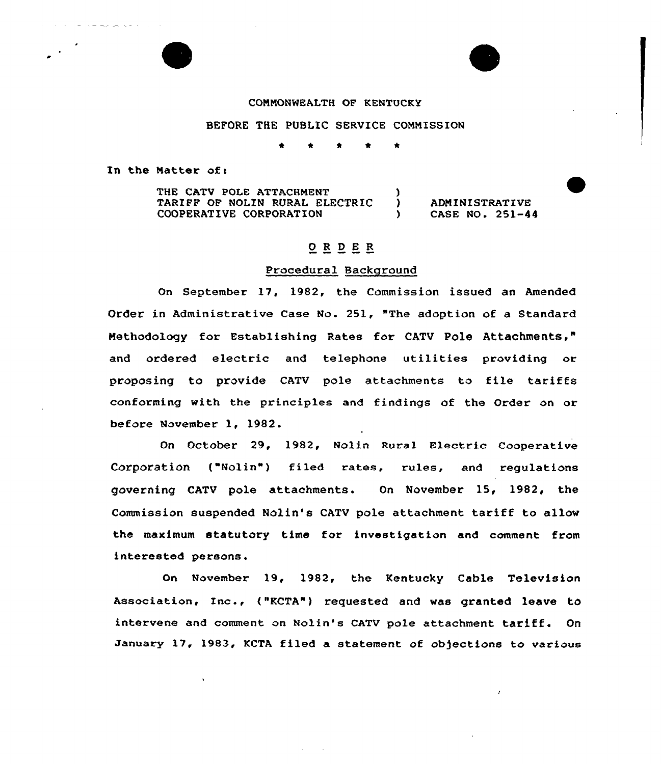### COMMONWEALTH OF KENTUCKY

### BEFORE THE PUBLIC SERVICE COMMISSION

\* \* \* <sup>4</sup> \*

In the Matter of <sup>a</sup>

المتعاصر ستعاطي

THE CATV POLE ATTACHMENT TARIFF OF NOLIN RURAL ELECTRIC COOPERATIVE CORPORATION )

) ADMINISTRATIVE<br>
) CASE NO. 251-44 ) CASE NO. 251-44

# ORDER

# Procedural Background

On September 17, 1982, the Commission issued an Amended Order in Administrative Case No. 251, "The adoption of a Standaxd Methodology for Establishing Rates for CATV Pole Attachments," and ordered electric and telephone utilities providing or proposing to provide CATV pole attachments to file tariffs conforming with the principles and findings of the Order on or before November 1, 1982.

On October 29, 1982, Nolin aural Electric Coopexative Corporation ("Nolin") filed rates, xules, and regulations governing CATV pole attachments. On November 15, 1982, the Commission suspended Nolin's CATV pole attachment taxiff to allow the maximum statutory time for investigation and comment from interested persons.

On November 19, 1982, the Kentucky Cable Television Association, Inc., ("KCTA") requested and was granted leave to intervene and comment on Nolin's CATV pole attachment tariff. On January 17, 1983, KCTA filed a statement of objections to various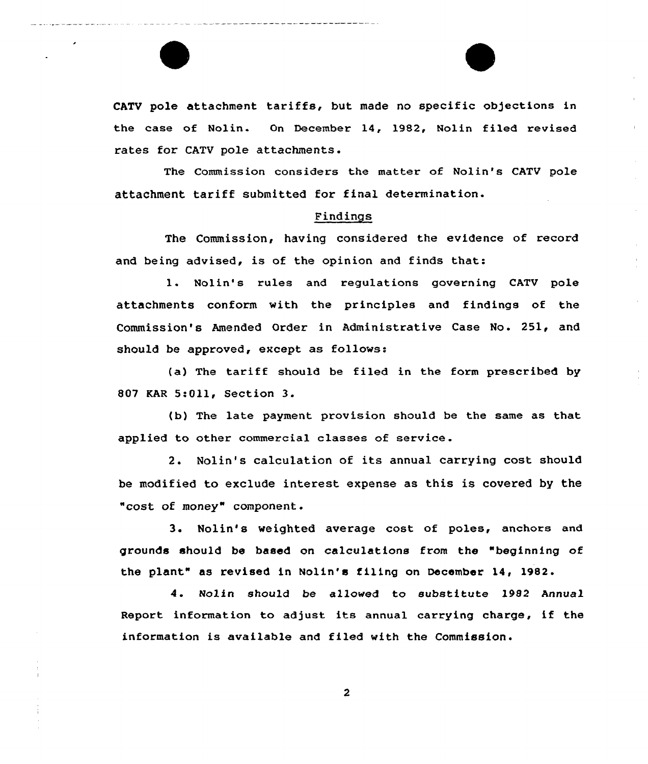CATV pole attachment tariffs, but made no specific objections in the case of Nolin. Gn December 14, 1982, Nolin filed revised rates for CATV pole attachments.

The Commission considers the matter of Nolin's CATV pole attachment tariff submitted for final determination.

### Findings

The Commission, having considered the evidence of record and being advised, is of the opinion and finds that:

1. Nolin's rules and regulations governing CATV pole attachments conform with the principles and findings of the Commission's Amended Order in Administrative Case No. 251, and should be approved, except as follows:

(a) The tariff should be filed in the form prescribed by 807 KAR 5:Oll, Section 3.

(b) The late payment provision should be the same as that applied to other commercial classes of service .

2. Nolin's calculation of its annual carrying cost should be modified to exclude interest expense as this is covered by the "cost of money" component.

3. Nolin's weighted average cost of poles, anchors and grounds should be based on calculations from the "beginning of the plant" as revised in Nolin's filing on December 14, 1982.

4. Nolin should be allowed to substitute 1982 Annual Report information to adjust its annual carrying charge, if the information is available and filed with the Commission.

 $\overline{2}$